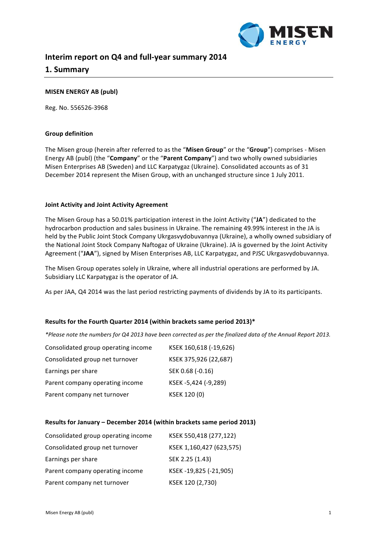

# **Interim report on Q4 and full-year summary 2014**

# **1. Summary**

## **MISEN ENERGY AB (publ)**

Reg. No. 556526-3968

## **Group definition**

The Misen group (herein after referred to as the "Misen Group" or the "Group") comprises - Misen Energy AB (publ) (the "Company" or the "Parent Company") and two wholly owned subsidiaries Misen Enterprises AB (Sweden) and LLC Karpatygaz (Ukraine). Consolidated accounts as of 31 December 2014 represent the Misen Group, with an unchanged structure since 1 July 2011.

## **Joint Activity and Joint Activity Agreement**

The Misen Group has a 50.01% participation interest in the Joint Activity ("JA") dedicated to the hydrocarbon production and sales business in Ukraine. The remaining 49.99% interest in the JA is held by the Public Joint Stock Company Ukrgasvydobuvannya (Ukraine), a wholly owned subsidiary of the National Joint Stock Company Naftogaz of Ukraine (Ukraine). JA is governed by the Joint Activity Agreement ("JAA"), signed by Misen Enterprises AB, LLC Karpatygaz, and PJSC Ukrgasvydobuvannya.

The Misen Group operates solely in Ukraine, where all industrial operations are performed by JA. Subsidiary LLC Karpatygaz is the operator of JA.

As per JAA, Q4 2014 was the last period restricting payments of dividends by JA to its participants.

## Results for the Fourth Quarter 2014 (within brackets same period 2013)\*

*\*Please note the numbers for Q4 2013 have been corrected as per the finalized data of the Annual Report 2013.*

| Consolidated group operating income | KSEK 160,618 (-19,626) |
|-------------------------------------|------------------------|
| Consolidated group net turnover     | KSEK 375,926 (22,687)  |
| Earnings per share                  | SEK 0.68 (-0.16)       |
| Parent company operating income     | KSEK-5,424 (-9,289)    |
| Parent company net turnover         | KSEK 120 (0)           |

#### **Results for January – December 2014 (within brackets same period 2013)**

| Consolidated group operating income | KSEK 550,418 (277,122)   |
|-------------------------------------|--------------------------|
| Consolidated group net turnover     | KSEK 1,160,427 (623,575) |
| Earnings per share                  | SEK 2.25 (1.43)          |
| Parent company operating income     | KSEK-19,825 (-21,905)    |
| Parent company net turnover         | KSEK 120 (2,730)         |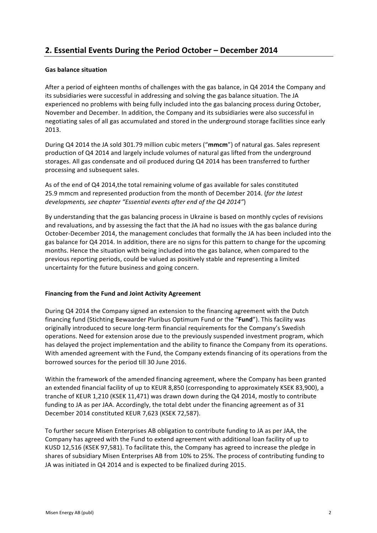# **2. Essential Events During the Period October – December 2014**

## **Gas balance situation**

After a period of eighteen months of challenges with the gas balance, in Q4 2014 the Company and its subsidiaries were successful in addressing and solving the gas balance situation. The JA experienced no problems with being fully included into the gas balancing process during October, November and December. In addition, the Company and its subsidiaries were also successful in negotiating sales of all gas accumulated and stored in the underground storage facilities since early 2013.

During Q4 2014 the JA sold 301.79 million cubic meters ("mmcm") of natural gas. Sales represent production of Q4 2014 and largely include volumes of natural gas lifted from the underground storages. All gas condensate and oil produced during Q4 2014 has been transferred to further processing and subsequent sales.

As of the end of Q4 2014, the total remaining volume of gas available for sales constituted 25.9 mmcm and represented production from the month of December 2014. (*for the latest* developments, see chapter "Essential events after end of the Q4 2014")

By understanding that the gas balancing process in Ukraine is based on monthly cycles of revisions and revaluations, and by assessing the fact that the JA had no issues with the gas balance during October-December 2014, the management concludes that formally the JA has been included into the gas balance for Q4 2014. In addition, there are no signs for this pattern to change for the upcoming months. Hence the situation with being included into the gas balance, when compared to the previous reporting periods, could be valued as positively stable and representing a limited uncertainty for the future business and going concern.

## **Financing from the Fund and Joint Activity Agreement**

During Q4 2014 the Company signed an extension to the financing agreement with the Dutch financing fund (Stichting Bewaarder Pluribus Optimum Fund or the "Fund"). This facility was originally introduced to secure long-term financial requirements for the Company's Swedish operations. Need for extension arose due to the previously suspended investment program, which has delayed the project implementation and the ability to finance the Company from its operations. With amended agreement with the Fund, the Company extends financing of its operations from the borrowed sources for the period till 30 June 2016.

Within the framework of the amended financing agreement, where the Company has been granted an extended financial facility of up to KEUR 8,850 (corresponding to approximately KSEK 83,900), a tranche of KEUR 1,210 (KSEK 11,471) was drawn down during the Q4 2014, mostly to contribute funding to JA as per JAA. Accordingly, the total debt under the financing agreement as of 31 December 2014 constituted KEUR 7,623 (KSEK 72,587).

To further secure Misen Enterprises AB obligation to contribute funding to JA as per JAA, the Company has agreed with the Fund to extend agreement with additional loan facility of up to KUSD 12,516 (KSEK 97,581). To facilitate this, the Company has agreed to increase the pledge in shares of subsidiary Misen Enterprises AB from 10% to 25%. The process of contributing funding to JA was initiated in Q4 2014 and is expected to be finalized during 2015.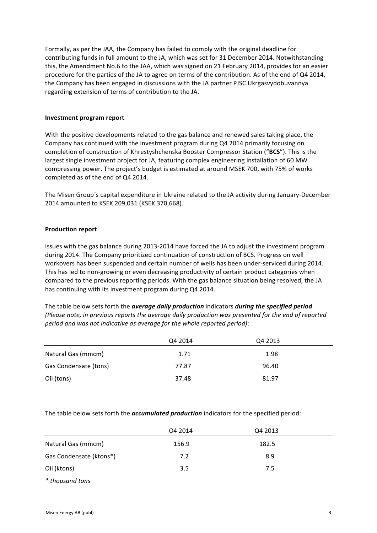Formally, as per the JAA, the Company has failed to comply with the original deadline for contributing funds in full amount to the JA, which was set for 31 December 2014. Notwithstanding this, the Amendment No.6 to the JAA, which was signed on 21 February 2014, provides for an easier procedure for the parties of the JA to agree on terms of the contribution. As of the end of Q4 2014, the Company has been engaged in discussions with the JA partner PJSC Ukrgasvydobuvannya regarding extension of terms of contribution to the JA.

#### **Investment program report**

With the positive developments related to the gas balance and renewed sales taking place, the Company has continued with the investment program during Q4 2014 primarily focusing on completion of construction of Khrestyshchenska Booster Compressor Station ("BCS"). This is the largest single investment project for JA, featuring complex engineering installation of 60 MW compressing power. The project's budget is estimated at around MSEK 700, with 75% of works completed as of the end of Q4 2014.

The Misen Group's capital expenditure in Ukraine related to the JA activity during January-December 2014 amounted to KSEK 209,031 (KSEK 370,668).

## **Production report**

Issues with the gas balance during 2013-2014 have forced the JA to adjust the investment program during 2014. The Company prioritized continuation of construction of BCS. Progress on well workovers has been suspended and certain number of wells has been under-serviced during 2014. This has led to non-growing or even decreasing productivity of certain product categories when compared to the previous reporting periods. With the gas balance situation being resolved, the JA has continuing with its investment program during Q4 2014.

The table below sets forth the *average daily production* indicators *during the specified period (Please note, in previous reports the average daily production was presented for the end of reported period and was not indicative as average for the whole reported period):* 

|                       | Q4 2014 | Q4 2013 |  |
|-----------------------|---------|---------|--|
| Natural Gas (mmcm)    | 1.71    | 1.98    |  |
| Gas Condensate (tons) | 77.87   | 96.40   |  |
| Oil (tons)            | 37.48   | 81.97   |  |

The table below sets forth the *accumulated production* indicators for the specified period:

|                         | 04 2014 | Q4 2013 |  |
|-------------------------|---------|---------|--|
| Natural Gas (mmcm)      | 156.9   | 182.5   |  |
| Gas Condensate (ktons*) | 7.2     | 8.9     |  |
| Oil (ktons)             | 3.5     | 7.5     |  |
| * thousand tons         |         |         |  |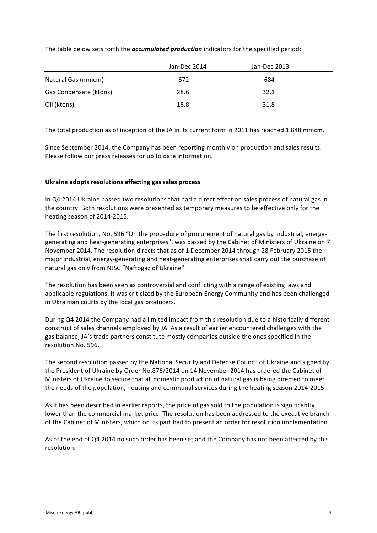|                        | Jan-Dec 2014 | Jan-Dec 2013 |  |
|------------------------|--------------|--------------|--|
| Natural Gas (mmcm)     | 672          | 684          |  |
| Gas Condensate (ktons) | 28.6         | 32.1         |  |
| Oil (ktons)            | 18.8         | 31.8         |  |

The table below sets forth the *accumulated production* indicators for the specified period:

The total production as of inception of the JA in its current form in 2011 has reached 1,848 mmcm.

Since September 2014, the Company has been reporting monthly on production and sales results. Please follow our press releases for up to date information.

## Ukraine adopts resolutions affecting gas sales process

In Q4 2014 Ukraine passed two resolutions that had a direct effect on sales process of natural gas in the country. Both resolutions were presented as temporary measures to be effective only for the heating season of 2014-2015.

The first resolution, No. 596 "On the procedure of procurement of natural gas by industrial, energygenerating and heat-generating enterprises", was passed by the Cabinet of Ministers of Ukraine on 7 November 2014. The resolution directs that as of 1 December 2014 through 28 February 2015 the major industrial, energy-generating and heat-generating enterprises shall carry out the purchase of natural gas only from NJSC "Naftogaz of Ukraine".

The resolution has been seen as controversial and conflicting with a range of existing laws and applicable regulations. It was criticized by the European Energy Community and has been challenged in Ukrainian courts by the local gas producers.

During Q4 2014 the Company had a limited impact from this resolution due to a historically different construct of sales channels employed by JA. As a result of earlier encountered challenges with the gas balance, JA's trade partners constitute mostly companies outside the ones specified in the resolution No. 596.

The second resolution passed by the National Security and Defense Council of Ukraine and signed by the President of Ukraine by Order No.876/2014 on 14 November 2014 has ordered the Cabinet of Ministers of Ukraine to secure that all domestic production of natural gas is being directed to meet the needs of the population, housing and communal services during the heating season 2014-2015.

As it has been described in earlier reports, the price of gas sold to the population is significantly lower than the commercial market price. The resolution has been addressed to the executive branch of the Cabinet of Ministers, which on its part had to present an order for resolution implementation.

As of the end of Q4 2014 no such order has been set and the Company has not been affected by this resolution.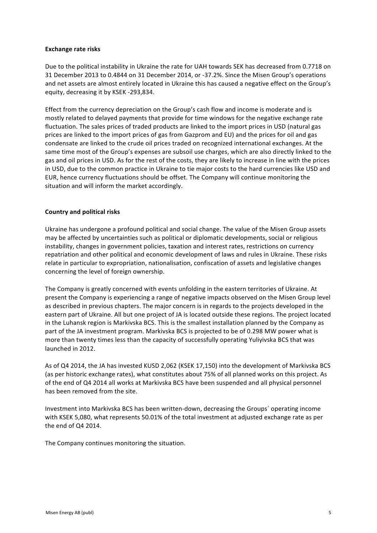## **Exchange rate risks**

Due to the political instability in Ukraine the rate for UAH towards SEK has decreased from 0.7718 on 31 December 2013 to 0.4844 on 31 December 2014, or -37.2%. Since the Misen Group's operations and net assets are almost entirely located in Ukraine this has caused a negative effect on the Group's equity, decreasing it by KSEK -293,834.

Effect from the currency depreciation on the Group's cash flow and income is moderate and is mostly related to delayed payments that provide for time windows for the negative exchange rate fluctuation. The sales prices of traded products are linked to the import prices in USD (natural gas prices are linked to the import prices of gas from Gazprom and EU) and the prices for oil and gas condensate are linked to the crude oil prices traded on recognized international exchanges. At the same time most of the Group's expenses are subsoil use charges, which are also directly linked to the gas and oil prices in USD. As for the rest of the costs, they are likely to increase in line with the prices in USD, due to the common practice in Ukraine to tie major costs to the hard currencies like USD and EUR, hence currency fluctuations should be offset. The Company will continue monitoring the situation and will inform the market accordingly.

## **Country and political risks**

Ukraine has undergone a profound political and social change. The value of the Misen Group assets may be affected by uncertainties such as political or diplomatic developments, social or religious instability, changes in government policies, taxation and interest rates, restrictions on currency repatriation and other political and economic development of laws and rules in Ukraine. These risks relate in particular to expropriation, nationalisation, confiscation of assets and legislative changes concerning the level of foreign ownership.

The Company is greatly concerned with events unfolding in the eastern territories of Ukraine. At present the Company is experiencing a range of negative impacts observed on the Misen Group level as described in previous chapters. The major concern is in regards to the projects developed in the eastern part of Ukraine. All but one project of JA is located outside these regions. The project located in the Luhansk region is Markivska BCS. This is the smallest installation planned by the Company as part of the JA investment program. Markivska BCS is projected to be of 0.298 MW power what is more than twenty times less than the capacity of successfully operating Yuliyivska BCS that was launched in 2012.

As of Q4 2014, the JA has invested KUSD 2,062 (KSEK 17,150) into the development of Markivska BCS (as per historic exchange rates), what constitutes about 75% of all planned works on this project. As of the end of Q4 2014 all works at Markivska BCS have been suspended and all physical personnel has been removed from the site.

Investment into Markivska BCS has been written-down, decreasing the Groups' operating income with KSEK 5,080, what represents 50.01% of the total investment at adjusted exchange rate as per the end of Q4 2014.

The Company continues monitoring the situation.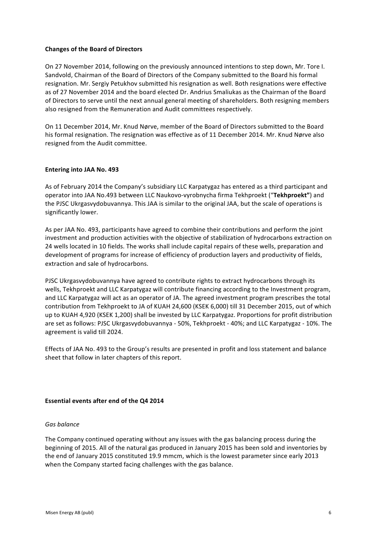## **Changes of the Board of Directors**

On 27 November 2014, following on the previously announced intentions to step down, Mr. Tore I. Sandvold, Chairman of the Board of Directors of the Company submitted to the Board his formal resignation. Mr. Sergiy Petukhov submitted his resignation as well. Both resignations were effective as of 27 November 2014 and the board elected Dr. Andrius Smaliukas as the Chairman of the Board of Directors to serve until the next annual general meeting of shareholders. Both resigning members also resigned from the Remuneration and Audit committees respectively.

On 11 December 2014, Mr. Knud Nørve, member of the Board of Directors submitted to the Board his formal resignation. The resignation was effective as of 11 December 2014. Mr. Knud Nørve also resigned from the Audit committee.

## **Entering into JAA No. 493**

As of February 2014 the Company's subsidiary LLC Karpatygaz has entered as a third participant and operator into JAA No.493 between LLC Naukovo-vyrobnycha firma Tekhproekt ("Tekhproekt") and the PJSC Ukrgasvydobuvannya. This JAA is similar to the original JAA, but the scale of operations is significantly lower.

As per JAA No. 493, participants have agreed to combine their contributions and perform the joint investment and production activities with the objective of stabilization of hydrocarbons extraction on 24 wells located in 10 fields. The works shall include capital repairs of these wells, preparation and development of programs for increase of efficiency of production layers and productivity of fields, extraction and sale of hydrocarbons.

PJSC Ukrgasvydobuvannya have agreed to contribute rights to extract hydrocarbons through its wells. Tekhproekt and LLC Karpatygaz will contribute financing according to the Investment program, and LLC Karpatygaz will act as an operator of JA. The agreed investment program prescribes the total contribution from Tekhproekt to JA of KUAH 24,600 (KSEK 6,000) till 31 December 2015, out of which up to KUAH 4,920 (KSEK 1,200) shall be invested by LLC Karpatygaz. Proportions for profit distribution are set as follows: PJSC Ukrgasvydobuvannya - 50%, Tekhproekt - 40%; and LLC Karpatygaz - 10%. The agreement is valid till 2024.

Effects of JAA No. 493 to the Group's results are presented in profit and loss statement and balance sheet that follow in later chapters of this report.

#### **Essential events after end of the Q4 2014**

#### *Gas balance*

The Company continued operating without any issues with the gas balancing process during the beginning of 2015. All of the natural gas produced in January 2015 has been sold and inventories by the end of January 2015 constituted 19.9 mmcm, which is the lowest parameter since early 2013 when the Company started facing challenges with the gas balance.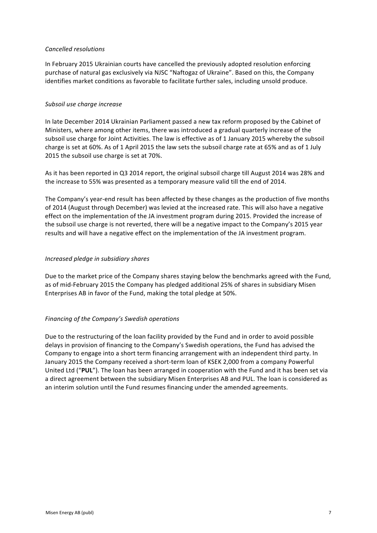## *Cancelled resolutions*

In February 2015 Ukrainian courts have cancelled the previously adopted resolution enforcing purchase of natural gas exclusively via NJSC "Naftogaz of Ukraine". Based on this, the Company identifies market conditions as favorable to facilitate further sales, including unsold produce.

## *Subsoil use charge increase*

In late December 2014 Ukrainian Parliament passed a new tax reform proposed by the Cabinet of Ministers, where among other items, there was introduced a gradual quarterly increase of the subsoil use charge for Joint Activities. The law is effective as of 1 January 2015 whereby the subsoil charge is set at 60%. As of 1 April 2015 the law sets the subsoil charge rate at 65% and as of 1 July 2015 the subsoil use charge is set at 70%.

As it has been reported in Q3 2014 report, the original subsoil charge till August 2014 was 28% and the increase to 55% was presented as a temporary measure valid till the end of 2014.

The Company's year-end result has been affected by these changes as the production of five months of 2014 (August through December) was levied at the increased rate. This will also have a negative effect on the implementation of the JA investment program during 2015. Provided the increase of the subsoil use charge is not reverted, there will be a negative impact to the Company's 2015 year results and will have a negative effect on the implementation of the JA investment program.

## *Increased pledge in subsidiary shares*

Due to the market price of the Company shares staying below the benchmarks agreed with the Fund, as of mid-February 2015 the Company has pledged additional 25% of shares in subsidiary Misen Enterprises AB in favor of the Fund, making the total pledge at 50%.

## *Financing of the Company's Swedish operations*

Due to the restructuring of the loan facility provided by the Fund and in order to avoid possible delays in provision of financing to the Company's Swedish operations, the Fund has advised the Company to engage into a short term financing arrangement with an independent third party. In January 2015 the Company received a short-term loan of KSEK 2,000 from a company Powerful United Ltd ("PUL"). The loan has been arranged in cooperation with the Fund and it has been set via a direct agreement between the subsidiary Misen Enterprises AB and PUL. The loan is considered as an interim solution until the Fund resumes financing under the amended agreements.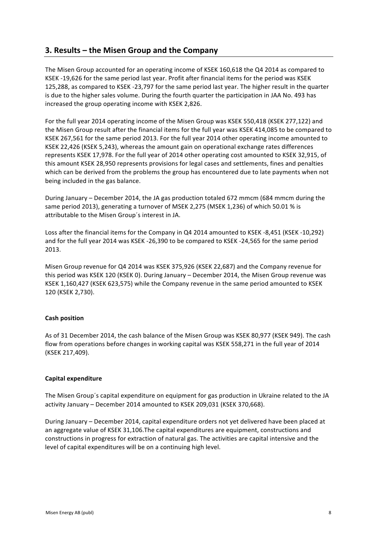# **3. Results – the Misen Group and the Company**

The Misen Group accounted for an operating income of KSEK 160,618 the Q4 2014 as compared to KSEK -19,626 for the same period last year. Profit after financial items for the period was KSEK 125,288, as compared to KSEK -23,797 for the same period last year. The higher result in the quarter is due to the higher sales volume. During the fourth quarter the participation in JAA No. 493 has increased the group operating income with KSEK 2,826.

For the full year 2014 operating income of the Misen Group was KSEK 550,418 (KSEK 277,122) and the Misen Group result after the financial items for the full year was KSEK 414,085 to be compared to KSEK 267,561 for the same period 2013. For the full year 2014 other operating income amounted to KSEK 22,426 (KSEK 5,243), whereas the amount gain on operational exchange rates differences represents KSEK 17,978. For the full year of 2014 other operating cost amounted to KSEK 32,915, of this amount KSEK 28,950 represents provisions for legal cases and settlements, fines and penalties which can be derived from the problems the group has encountered due to late payments when not being included in the gas balance.

During January - December 2014, the JA gas production totaled 672 mmcm (684 mmcm during the same period 2013), generating a turnover of MSEK 2,275 (MSEK 1,236) of which 50.01 % is attributable to the Misen Group's interest in JA.

Loss after the financial items for the Company in Q4 2014 amounted to KSEK -8,451 (KSEK -10,292) and for the full year 2014 was KSEK -26,390 to be compared to KSEK -24,565 for the same period 2013.

Misen Group revenue for Q4 2014 was KSEK 375,926 (KSEK 22,687) and the Company revenue for this period was KSEK 120 (KSEK 0). During January – December 2014, the Misen Group revenue was KSEK 1,160,427 (KSEK 623,575) while the Company revenue in the same period amounted to KSEK 120 (KSEK 2,730).

## **Cash position**

As of 31 December 2014, the cash balance of the Misen Group was KSEK 80,977 (KSEK 949). The cash flow from operations before changes in working capital was KSEK 558,271 in the full year of 2014 (KSEK 217,409). 

## **Capital expenditure**

The Misen Group's capital expenditure on equipment for gas production in Ukraine related to the JA activity January - December 2014 amounted to KSEK 209,031 (KSEK 370,668).

During January - December 2014, capital expenditure orders not yet delivered have been placed at an aggregate value of KSEK 31,106. The capital expenditures are equipment, constructions and constructions in progress for extraction of natural gas. The activities are capital intensive and the level of capital expenditures will be on a continuing high level.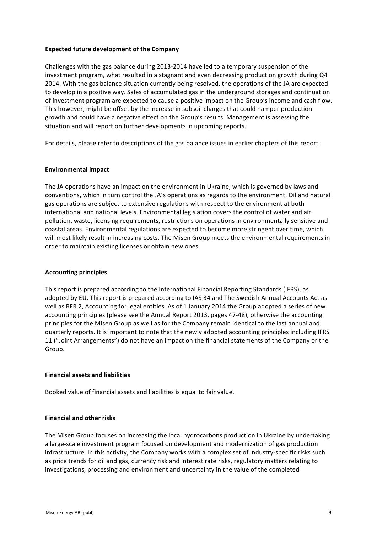## **Expected future development of the Company**

Challenges with the gas balance during 2013-2014 have led to a temporary suspension of the investment program, what resulted in a stagnant and even decreasing production growth during Q4 2014. With the gas balance situation currently being resolved, the operations of the JA are expected to develop in a positive way. Sales of accumulated gas in the underground storages and continuation of investment program are expected to cause a positive impact on the Group's income and cash flow. This however, might be offset by the increase in subsoil charges that could hamper production growth and could have a negative effect on the Group's results. Management is assessing the situation and will report on further developments in upcoming reports.

For details, please refer to descriptions of the gas balance issues in earlier chapters of this report.

## **Environmental impact**

The JA operations have an impact on the environment in Ukraine, which is governed by laws and conventions, which in turn control the JA's operations as regards to the environment. Oil and natural gas operations are subject to extensive regulations with respect to the environment at both international and national levels. Environmental legislation covers the control of water and air pollution, waste, licensing requirements, restrictions on operations in environmentally sensitive and coastal areas. Environmental regulations are expected to become more stringent over time, which will most likely result in increasing costs. The Misen Group meets the environmental requirements in order to maintain existing licenses or obtain new ones.

#### **Accounting principles**

This report is prepared according to the International Financial Reporting Standards (IFRS), as adopted by EU. This report is prepared according to IAS 34 and The Swedish Annual Accounts Act as well as RFR 2, Accounting for legal entities. As of 1 January 2014 the Group adopted a series of new accounting principles (please see the Annual Report 2013, pages 47-48), otherwise the accounting principles for the Misen Group as well as for the Company remain identical to the last annual and quarterly reports. It is important to note that the newly adopted accounting principles including IFRS 11 ("Joint Arrangements") do not have an impact on the financial statements of the Company or the Group. 

## **Financial assets and liabilities**

Booked value of financial assets and liabilities is equal to fair value.

#### **Financial and other risks**

The Misen Group focuses on increasing the local hydrocarbons production in Ukraine by undertaking a large-scale investment program focused on development and modernization of gas production infrastructure. In this activity, the Company works with a complex set of industry-specific risks such as price trends for oil and gas, currency risk and interest rate risks, regulatory matters relating to investigations, processing and environment and uncertainty in the value of the completed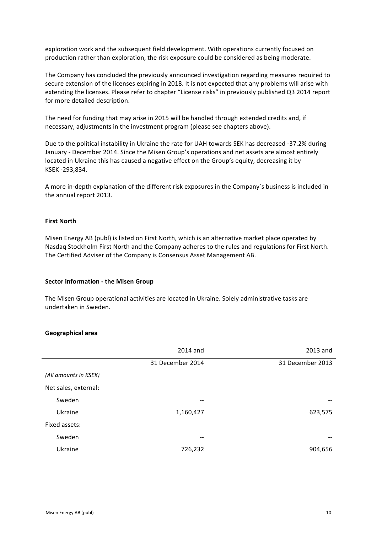exploration work and the subsequent field development. With operations currently focused on production rather than exploration, the risk exposure could be considered as being moderate.

The Company has concluded the previously announced investigation regarding measures required to secure extension of the licenses expiring in 2018. It is not expected that any problems will arise with extending the licenses. Please refer to chapter "License risks" in previously published Q3 2014 report for more detailed description.

The need for funding that may arise in 2015 will be handled through extended credits and, if necessary, adjustments in the investment program (please see chapters above).

Due to the political instability in Ukraine the rate for UAH towards SEK has decreased -37.2% during January - December 2014. Since the Misen Group's operations and net assets are almost entirely located in Ukraine this has caused a negative effect on the Group's equity, decreasing it by KSEK -293,834.

A more in-depth explanation of the different risk exposures in the Company's business is included in the annual report 2013.

#### **First North**

Misen Energy AB (publ) is listed on First North, which is an alternative market place operated by Nasdaq Stockholm First North and the Company adheres to the rules and regulations for First North. The Certified Adviser of the Company is Consensus Asset Management AB.

#### **Sector information - the Misen Group**

The Misen Group operational activities are located in Ukraine. Solely administrative tasks are undertaken in Sweden.

#### **Geographical area**

|                       | 2014 and         | 2013 and         |
|-----------------------|------------------|------------------|
|                       | 31 December 2014 | 31 December 2013 |
| (All amounts in KSEK) |                  |                  |
| Net sales, external:  |                  |                  |
| Sweden                | $- -$            | --               |
| Ukraine               | 1,160,427        | 623,575          |
| Fixed assets:         |                  |                  |
| Sweden                | --               |                  |
| Ukraine               | 726,232          | 904,656          |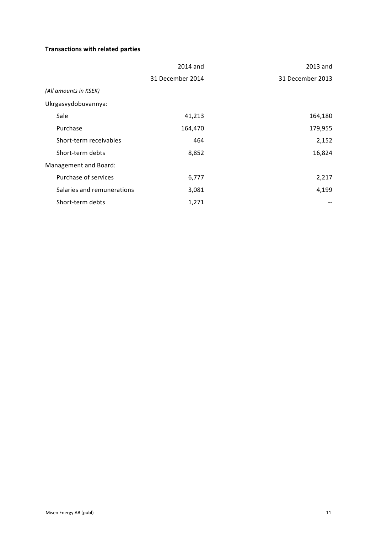# **Transactions with related parties**

|                            | 2014 and         | 2013 and         |
|----------------------------|------------------|------------------|
|                            | 31 December 2014 | 31 December 2013 |
| (All amounts in KSEK)      |                  |                  |
| Ukrgasvydobuvannya:        |                  |                  |
| Sale                       | 41,213           | 164,180          |
| Purchase                   | 164,470          | 179,955          |
| Short-term receivables     | 464              | 2,152            |
| Short-term debts           | 8,852            | 16,824           |
| Management and Board:      |                  |                  |
| Purchase of services       | 6,777            | 2,217            |
| Salaries and remunerations | 3,081            | 4,199            |
| Short-term debts           | 1,271            |                  |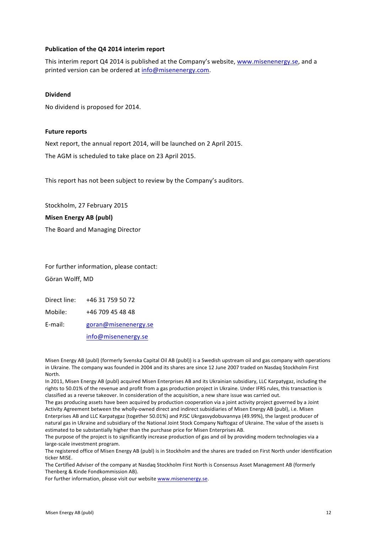## **Publication of the Q4 2014 interim report**

This interim report Q4 2014 is published at the Company's website, www.misenenergy.se, and a printed version can be ordered at info@misenenergy.com.

#### **Dividend**

No dividend is proposed for 2014.

#### **Future reports**

Next report, the annual report 2014, will be launched on 2 April 2015.

The AGM is scheduled to take place on 23 April 2015.

This report has not been subject to review by the Company's auditors.

Stockholm, 27 February 2015

## **Misen Energy AB (publ)**

The Board and Managing Director

For further information, please contact: Göran Wolff, MD

Direct line: +46 31 759 50 72

Mobile: +46 709 45 48 48

E-mail: goran@misenenergy.se

info@misenenergy.se

Misen Energy AB (publ) (formerly Svenska Capital Oil AB (publ)) is a Swedish upstream oil and gas company with operations in Ukraine. The company was founded in 2004 and its shares are since 12 June 2007 traded on Nasdaq Stockholm First North.

In 2011, Misen Energy AB (publ) acquired Misen Enterprises AB and its Ukrainian subsidiary, LLC Karpatygaz, including the rights to 50.01% of the revenue and profit from a gas production project in Ukraine. Under IFRS rules, this transaction is classified as a reverse takeover. In consideration of the acquisition, a new share issue was carried out.

The gas producing assets have been acquired by production cooperation via a joint activity project governed by a Joint Activity Agreement between the wholly-owned direct and indirect subsidiaries of Misen Energy AB (publ), i.e. Misen Enterprises AB and LLC Karpatygaz (together 50.01%) and PJSC Ukrgasvydobuvannya (49.99%), the largest producer of natural gas in Ukraine and subsidiary of the National Joint Stock Company Naftogaz of Ukraine. The value of the assets is estimated to be substantially higher than the purchase price for Misen Enterprises AB.

The purpose of the project is to significantly increase production of gas and oil by providing modern technologies via a large-scale investment program.

The registered office of Misen Energy AB (publ) is in Stockholm and the shares are traded on First North under identification ticker MISE.

The Certified Adviser of the company at Nasdaq Stockholm First North is Consensus Asset Management AB (formerly Thenberg & Kinde Fondkommission AB).

For further information, please visit our website www.misenenergy.se.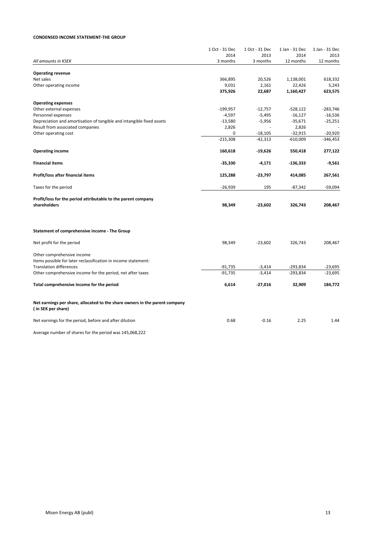#### **CONDENSED INCOME STATEMENT-THE GROUP**

|                                                                             | 1 Oct - 31 Dec | 1 Oct - 31 Dec | 1 Jan - 31 Dec | 1 Jan - 31 Dec |
|-----------------------------------------------------------------------------|----------------|----------------|----------------|----------------|
|                                                                             | 2014           | 2013           | 2014           | 2013           |
| All amounts in KSEK                                                         | 3 months       | 3 months       | 12 months      | 12 months      |
| <b>Operating revenue</b>                                                    |                |                |                |                |
| Net sales                                                                   | 366,895        | 20,526         | 1,138,001      | 618,332        |
| Other operating income                                                      | 9,031          | 2,161          | 22,426         | 5,243          |
|                                                                             | 375,926        | 22,687         | 1,160,427      | 623,575        |
| <b>Operating expenses</b>                                                   |                |                |                |                |
| Other external expenses                                                     | $-199,957$     | $-12,757$      | $-528,122$     | $-283,746$     |
| Personnel expenses                                                          | $-4,597$       | $-5,495$       | $-16,127$      | $-16,536$      |
| Depreciation and amortisation of tangible and intangible fixed assets       | $-13,580$      | $-5,956$       | $-35,671$      | $-25,251$      |
| Result from associated companies                                            | 2,826          |                | 2,826          |                |
| Other operating cost                                                        | 0              | $-18,105$      | $-32,915$      | $-20,920$      |
|                                                                             | $-215,308$     | $-42,313$      | $-610,009$     | $-346,453$     |
| <b>Operating income</b>                                                     | 160,618        | $-19,626$      | 550,418        | 277,122        |
| <b>Financial items</b>                                                      | $-35,330$      | $-4,171$       | $-136,333$     | $-9,561$       |
| Profit/loss after financial items                                           | 125,288        | -23,797        | 414,085        | 267,561        |
| Taxes for the period                                                        | $-26,939$      | 195            | $-87,342$      | $-59,094$      |
| Profit/loss for the period attributable to the parent company               |                |                |                |                |
| shareholders                                                                | 98,349         | $-23,602$      | 326,743        | 208,467        |
|                                                                             |                |                |                |                |
| Statement of comprehensive income - The Group                               |                |                |                |                |
| Net profit for the period                                                   | 98,349         | $-23,602$      | 326,743        | 208,467        |
| Other comprehensive income                                                  |                |                |                |                |
| Items possible for later reclassification in income statement:              |                |                |                |                |
| <b>Translation differences</b>                                              | $-91,735$      | $-3,414$       | $-293,834$     | -23,695        |
| Other comprehensive income for the period, net after taxes                  | $-91,735$      | $-3.414$       | $-293,834$     | $-23,695$      |
| Total comprehensive income for the period                                   | 6,614          | $-27,016$      | 32,909         | 184,772        |
| Net earnings per share, allocated to the share owners in the parent company |                |                |                |                |
| (in SEK per share)                                                          |                |                |                |                |
| Net earnings for the period, before and after dilution                      | 0.68           | $-0.16$        | 2.25           | 1.44           |

Average number of shares for the period was 145,068,222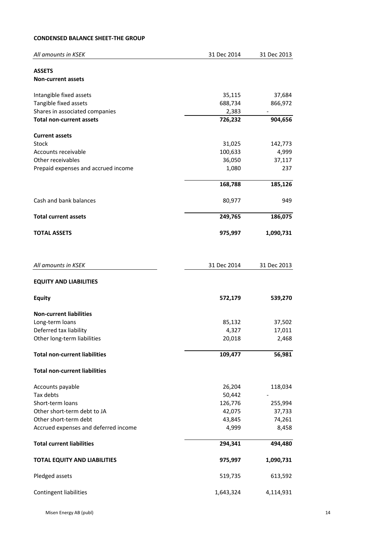## **CONDENSED BALANCE SHEET-THE GROUP**

| All amounts in KSEK                  | 31 Dec 2014       | 31 Dec 2013       |
|--------------------------------------|-------------------|-------------------|
|                                      |                   |                   |
| <b>ASSETS</b>                        |                   |                   |
| <b>Non-current assets</b>            |                   |                   |
| Intangible fixed assets              | 35,115            | 37,684            |
| Tangible fixed assets                | 688,734           | 866,972           |
| Shares in associated companies       | 2,383             |                   |
| <b>Total non-current assets</b>      | 726,232           | 904,656           |
| <b>Current assets</b>                |                   |                   |
| <b>Stock</b>                         | 31,025            | 142,773           |
| Accounts receivable                  | 100,633           | 4,999             |
| Other receivables                    | 36,050            | 37,117            |
| Prepaid expenses and accrued income  | 1,080             | 237               |
|                                      | 168,788           | 185,126           |
| Cash and bank balances               | 80,977            | 949               |
| <b>Total current assets</b>          | 249,765           | 186,075           |
| <b>TOTAL ASSETS</b>                  | 975,997           | 1,090,731         |
|                                      |                   |                   |
| All amounts in KSEK                  | 31 Dec 2014       | 31 Dec 2013       |
| <b>EQUITY AND LIABILITIES</b>        |                   |                   |
| <b>Equity</b>                        | 572,179           | 539,270           |
| <b>Non-current liabilities</b>       |                   |                   |
| Long-term loans                      | 85,132            | 37,502            |
| Deferred tax liability               | 4,327             | 17,011            |
| Other long-term liabilities          | 20,018            | 2,468             |
| <b>Total non-current liabilities</b> | 109,477           | 56,981            |
| <b>Total non-current liabilities</b> |                   |                   |
|                                      |                   |                   |
| Accounts payable                     | 26,204            | 118,034           |
| Tax debts<br>Short-term loans        | 50,442<br>126,776 |                   |
| Other short-term debt to JA          | 42,075            | 255,994<br>37,733 |
| Other short-term debt                | 43,845            | 74,261            |
| Accrued expenses and deferred income | 4,999             | 8,458             |
|                                      |                   |                   |
| <b>Total current liabilities</b>     | 294,341           | 494,480           |
| <b>TOTAL EQUITY AND LIABILITIES</b>  | 975,997           | 1,090,731         |
| Pledged assets                       | 519,735           | 613,592           |
| Contingent liabilities               | 1,643,324         | 4,114,931         |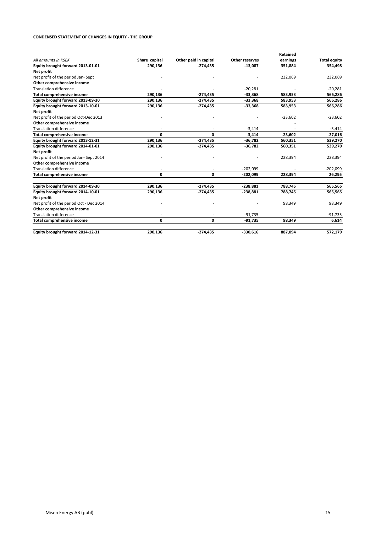#### **CONDENSED STATEMENT OF CHANGES IN EQUITY - THE GROUP**

|                                         |               |                       |                | Retained  |                     |
|-----------------------------------------|---------------|-----------------------|----------------|-----------|---------------------|
| All amounts in KSEK                     | Share capital | Other paid in capital | Other reserves | earnings  | <b>Total equity</b> |
| Equity brought forward 2013-01-01       | 290,136       | $-274,435$            | $-13,087$      | 351,884   | 354,498             |
| Net profit                              |               |                       |                |           |                     |
| Net profit of the period Jan-Sept       |               |                       |                | 232,069   | 232,069             |
| Other comprehensive income              |               |                       |                |           |                     |
| <b>Translation difference</b>           |               |                       | $-20,281$      |           | $-20,281$           |
| <b>Total comprehensive income</b>       | 290,136       | $-274,435$            | $-33,368$      | 583,953   | 566,286             |
| Equity brought forward 2013-09-30       | 290,136       | $-274,435$            | $-33,368$      | 583,953   | 566,286             |
| Equity brought forward 2013-10-01       | 290,136       | -274,435              | $-33,368$      | 583,953   | 566,286             |
| Net profit                              |               |                       |                |           |                     |
| Net profit of the period Oct-Dec 2013   |               |                       |                | $-23,602$ | $-23,602$           |
| Other comprehensive income              |               |                       |                |           |                     |
| <b>Translation difference</b>           |               |                       | $-3,414$       |           | $-3,414$            |
| <b>Total comprehensive income</b>       | 0             | 0                     | $-3,414$       | $-23,602$ | $-27,016$           |
| Equity brought forward 2013-12-31       | 290,136       | $-274,435$            | $-36,782$      | 560,351   | 539,270             |
| Equity brought forward 2014-01-01       | 290,136       | $-274,435$            | $-36,782$      | 560,351   | 539,270             |
| Net profit                              |               |                       |                |           |                     |
| Net profit of the period Jan- Sept 2014 |               |                       |                | 228,394   | 228,394             |
| Other comprehensive income              |               |                       |                |           |                     |
| <b>Translation difference</b>           |               |                       | $-202.099$     |           | $-202,099$          |
| <b>Total comprehensive income</b>       | 0             | 0                     | $-202,099$     | 228,394   | 26,295              |
| Equity brought forward 2014-09-30       | 290,136       | $-274,435$            | $-238,881$     | 788,745   | 565,565             |
| Equity brought forward 2014-10-01       | 290,136       | $-274,435$            | $-238,881$     | 788,745   | 565,565             |
| Net profit                              |               |                       |                |           |                     |
| Net profit of the period Oct - Dec 2014 |               |                       |                | 98,349    | 98,349              |
| Other comprehensive income              |               |                       |                |           |                     |
| <b>Translation difference</b>           |               |                       | $-91,735$      |           | $-91,735$           |
| <b>Total comprehensive income</b>       | 0             | 0                     | $-91,735$      | 98,349    | 6,614               |
| Equity brought forward 2014-12-31       | 290,136       | $-274,435$            | $-330,616$     | 887,094   | 572,179             |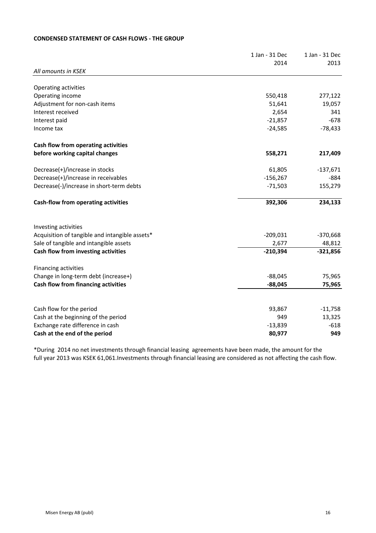## **CONDENSED STATEMENT OF CASH FLOWS - THE GROUP**

|                                                | 1 Jan - 31 Dec | 1 Jan - 31 Dec |
|------------------------------------------------|----------------|----------------|
|                                                | 2014           | 2013           |
| All amounts in KSEK                            |                |                |
| Operating activities                           |                |                |
| Operating income                               | 550,418        | 277,122        |
| Adjustment for non-cash items                  | 51,641         | 19,057         |
| Interest received                              | 2,654          | 341            |
| Interest paid                                  | $-21,857$      | $-678$         |
| Income tax                                     | $-24,585$      | $-78,433$      |
| Cash flow from operating activities            |                |                |
| before working capital changes                 | 558,271        | 217,409        |
| Decrease(+)/increase in stocks                 | 61,805         | $-137,671$     |
| Decrease(+)/increase in receivables            | $-156,267$     | -884           |
| Decrease(-)/increase in short-term debts       | $-71,503$      | 155,279        |
| Cash-flow from operating activities            | 392,306        | 234,133        |
| Investing activities                           |                |                |
| Acquisition of tangible and intangible assets* | $-209,031$     | $-370,668$     |
| Sale of tangible and intangible assets         | 2,677          | 48,812         |
| Cash flow from investing activities            | $-210,394$     | $-321,856$     |
| Financing activities                           |                |                |
| Change in long-term debt (increase+)           | $-88,045$      | 75,965         |
| Cash flow from financing activities            | $-88,045$      | 75,965         |
|                                                |                |                |
| Cash flow for the period                       | 93,867         | $-11,758$      |
| Cash at the beginning of the period            | 949            | 13,325         |
| Exchange rate difference in cash               | $-13,839$      | $-618$         |
| Cash at the end of the period                  | 80,977         | 949            |

\*During 2014 no net investments through financial leasing agreements have been made, the amount for the full year 2013 was KSEK 61,061.Investments through financial leasing are considered as not affecting the cash flow.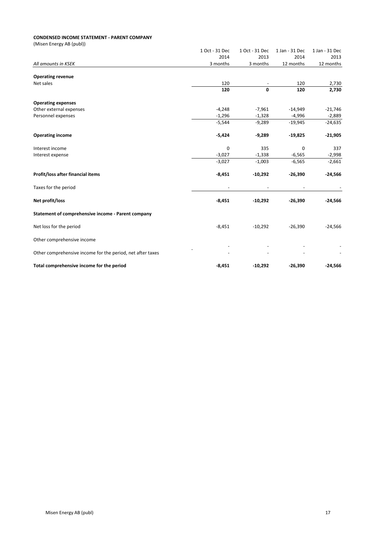#### **CONDENSED INCOME STATEMENT - PARENT COMPANY**

(Misen Energy AB (publ))

|                                                            | 1 Oct - 31 Dec           | 1 Oct - 31 Dec | 1 Jan - 31 Dec | 1 Jan - 31 Dec |
|------------------------------------------------------------|--------------------------|----------------|----------------|----------------|
|                                                            | 2014                     | 2013           | 2014           | 2013           |
| All amounts in KSEK                                        | 3 months                 | 3 months       | 12 months      | 12 months      |
|                                                            |                          |                |                |                |
| <b>Operating revenue</b>                                   |                          |                |                |                |
| Net sales                                                  | 120                      |                | 120            | 2,730          |
|                                                            | 120                      | 0              | 120            | 2,730          |
| <b>Operating expenses</b>                                  |                          |                |                |                |
| Other external expenses                                    | $-4,248$                 | $-7,961$       | $-14,949$      | $-21,746$      |
| Personnel expenses                                         | $-1,296$                 | $-1,328$       | $-4,996$       | $-2,889$       |
|                                                            | $-5,544$                 | $-9,289$       | $-19,945$      | $-24,635$      |
| <b>Operating income</b>                                    | $-5,424$                 | $-9,289$       | $-19,825$      | $-21,905$      |
| Interest income                                            | 0                        | 335            | 0              | 337            |
| Interest expense                                           | $-3,027$                 | $-1,338$       | $-6,565$       | $-2,998$       |
|                                                            | $-3,027$                 | $-1,003$       | $-6,565$       | $-2,661$       |
| Profit/loss after financial items                          | $-8,451$                 | $-10,292$      | $-26,390$      | $-24,566$      |
| Taxes for the period                                       | $\overline{\phantom{a}}$ |                |                |                |
| Net profit/loss                                            | $-8,451$                 | $-10,292$      | $-26,390$      | $-24,566$      |
| Statement of comprehensive income - Parent company         |                          |                |                |                |
| Net loss for the period                                    | $-8,451$                 | $-10,292$      | $-26,390$      | $-24,566$      |
| Other comprehensive income                                 |                          |                |                |                |
| Other comprehensive income for the period, net after taxes |                          |                |                |                |
| Total comprehensive income for the period                  | $-8,451$                 | $-10,292$      | $-26,390$      | $-24,566$      |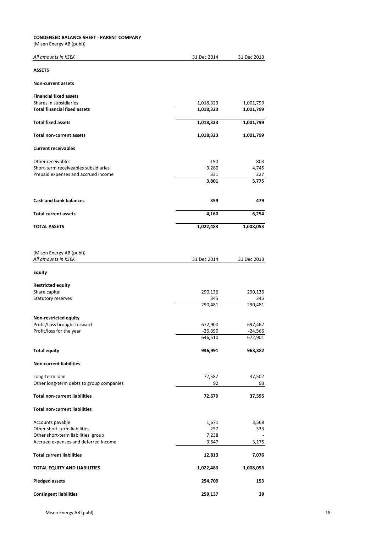#### **CONDENSED BALANCE SHEET - PARENT COMPANY**

(Misen Energy AB (publ))

| All amounts in KSEK                      | 31 Dec 2014          | 31 Dec 2013          |
|------------------------------------------|----------------------|----------------------|
| <b>ASSETS</b>                            |                      |                      |
| <b>Non-current assets</b>                |                      |                      |
| <b>Financial fixed assets</b>            |                      |                      |
| Shares in subsidiaries                   | 1,018,323            | 1,001,799            |
| <b>Total financial fixed assets</b>      | 1,018,323            | 1,001,799            |
| <b>Total fixed assets</b>                | 1,018,323            | 1,001,799            |
| <b>Total non-current assets</b>          | 1,018,323            | 1,001,799            |
| <b>Current receivables</b>               |                      |                      |
| Other receivables                        | 190                  | 803                  |
| Short-term receiveables subsidiaries     | 3,280                | 4,745                |
| Prepaid expenses and accrued income      | 331                  | 227                  |
|                                          | 3,801                | 5,775                |
| <b>Cash and bank balances</b>            | 359                  | 479                  |
| <b>Total current assets</b>              | 4,160                | 6,254                |
| <b>TOTAL ASSETS</b>                      | 1,022,483            | 1,008,053            |
|                                          |                      |                      |
| (Misen Energy AB (publ))                 |                      |                      |
| All amounts in KSEK                      | 31 Dec 2014          | 31 Dec 2013          |
| <b>Equity</b>                            |                      |                      |
| <b>Restricted equity</b>                 |                      |                      |
| Share capital                            | 290,136              | 290,136              |
| Statutory reserves                       | 345                  | 345                  |
|                                          | 290,481              | 290,481              |
| Non-restricted equity                    |                      |                      |
| Profit/Loss brought forward              | 672,900              | 697,467              |
| Profit/loss for the year                 | $-26,390$<br>646,510 | $-24,566$<br>672,901 |
|                                          |                      |                      |
| <b>Total equity</b>                      | 936,991              | 963,382              |
| <b>Non-current liabilities</b>           |                      |                      |
| Long-term loan                           | 72,587               | 37,502               |
| Other long-term debts to group companies | 92                   | 93                   |
| <b>Total non-current liabilities</b>     | 72,679               | 37,595               |
| <b>Total non-current liabilities</b>     |                      |                      |
| Accounts payable                         | 1,671                | 3,568                |
| Other short-term liabilities             | 257                  | 333                  |
| Other short-term liabilities group       | 7,238                |                      |
| Accrued expenses and deferred income     | 3,647                | 3,175                |
| <b>Total current liabilities</b>         | 12,813               | 7,076                |
| TOTAL EQUITY AND LIABILITIES             | 1,022,483            | 1,008,053            |
| <b>Pledged assets</b>                    | 254,709              | 153                  |
| <b>Contingent liabilities</b>            | 259,137              | 39                   |

Misen Energy AB (publ) 18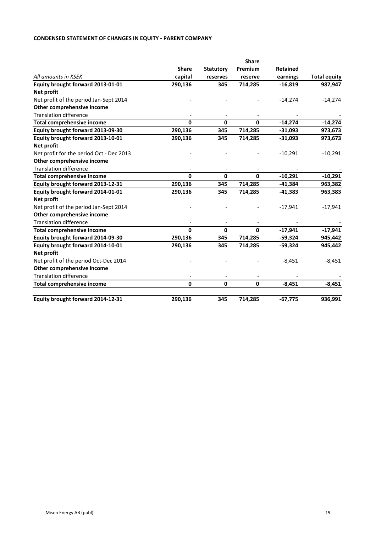## **CONDENSED STATEMENT OF CHANGES IN EQUITY - PARENT COMPANY**

|                                          |              |                  | <b>Share</b> |           |                     |
|------------------------------------------|--------------|------------------|--------------|-----------|---------------------|
|                                          | <b>Share</b> | <b>Statutory</b> | Premium      | Retained  |                     |
| All amounts in KSEK                      | capital      | reserves         | reserve      | earnings  | <b>Total equity</b> |
| Equity brought forward 2013-01-01        | 290,136      | 345              | 714,285      | $-16,819$ | 987,947             |
| Net profit                               |              |                  |              |           |                     |
| Net profit of the period Jan-Sept 2014   |              |                  |              | $-14,274$ | $-14,274$           |
| Other comprehensive income               |              |                  |              |           |                     |
| <b>Translation difference</b>            |              |                  |              |           |                     |
| <b>Total comprehensive income</b>        | $\Omega$     | $\mathbf{0}$     | $\Omega$     | $-14,274$ | $-14,274$           |
| Equity brought forward 2013-09-30        | 290,136      | 345              | 714,285      | $-31,093$ | 973,673             |
| Equity brought forward 2013-10-01        | 290,136      | 345              | 714,285      | $-31,093$ | 973,673             |
| Net profit                               |              |                  |              |           |                     |
| Net profit for the period Oct - Dec 2013 |              |                  |              | $-10,291$ | $-10,291$           |
| Other comprehensive income               |              |                  |              |           |                     |
| <b>Translation difference</b>            |              |                  |              |           |                     |
| <b>Total comprehensive income</b>        | 0            | $\mathbf{0}$     | $\mathbf 0$  | $-10,291$ | $-10,291$           |
| Equity brought forward 2013-12-31        | 290,136      | 345              | 714,285      | $-41,384$ | 963,382             |
| Equity brought forward 2014-01-01        | 290,136      | 345              | 714,285      | $-41,383$ | 963,383             |
| Net profit                               |              |                  |              |           |                     |
| Net profit of the period Jan-Sept 2014   |              |                  |              | $-17,941$ | $-17,941$           |
| Other comprehensive income               |              |                  |              |           |                     |
| <b>Translation difference</b>            |              |                  |              |           |                     |
| <b>Total comprehensive income</b>        | $\Omega$     | $\mathbf{0}$     | $\mathbf{0}$ | $-17,941$ | $-17,941$           |
| Equity brought forward 2014-09-30        | 290,136      | 345              | 714,285      | -59,324   | 945,442             |
| Equity brought forward 2014-10-01        | 290,136      | 345              | 714,285      | -59,324   | 945,442             |
| Net profit                               |              |                  |              |           |                     |
| Net profit of the period Oct-Dec 2014    |              |                  |              | $-8,451$  | $-8,451$            |
| Other comprehensive income               |              |                  |              |           |                     |
| <b>Translation difference</b>            |              |                  |              |           |                     |
| <b>Total comprehensive income</b>        | $\Omega$     | $\mathbf{0}$     | $\pmb{0}$    | $-8,451$  | $-8,451$            |
| Equity brought forward 2014-12-31        | 290,136      | 345              | 714,285      | $-67,775$ | 936,991             |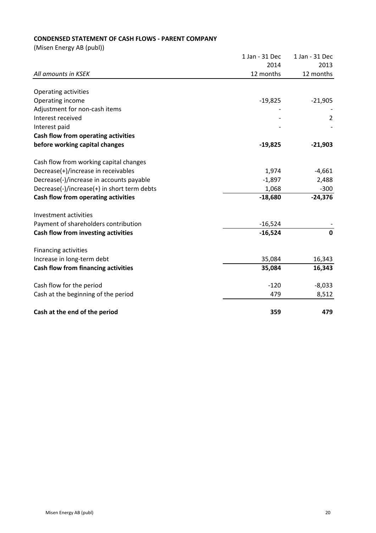## **CONDENSED STATEMENT OF CASH FLOWS - PARENT COMPANY**

(Misen Energy AB (publ))

|                                             | 1 Jan - 31 Dec | 1 Jan - 31 Dec |
|---------------------------------------------|----------------|----------------|
|                                             | 2014           | 2013           |
| All amounts in KSEK                         | 12 months      | 12 months      |
|                                             |                |                |
| <b>Operating activities</b>                 |                |                |
| Operating income                            | $-19,825$      | $-21,905$      |
| Adjustment for non-cash items               |                |                |
| Interest received                           |                | $\overline{2}$ |
| Interest paid                               |                |                |
| Cash flow from operating activities         |                |                |
| before working capital changes              | $-19,825$      | $-21,903$      |
| Cash flow from working capital changes      |                |                |
| Decrease(+)/increase in receivables         | 1,974          | $-4,661$       |
| Decrease(-)/increase in accounts payable    | $-1,897$       | 2,488          |
| Decrease(-)/increase(+) in short term debts | 1,068          | $-300$         |
| Cash flow from operating activities         | $-18,680$      | $-24,376$      |
| Investment activities                       |                |                |
| Payment of shareholders contribution        | $-16,524$      |                |
| Cash flow from investing activities         | $-16,524$      | $\mathbf{0}$   |
| <b>Financing activities</b>                 |                |                |
| Increase in long-term debt                  | 35,084         | 16,343         |
| Cash flow from financing activities         | 35,084         | 16,343         |
| Cash flow for the period                    | $-120$         | $-8,033$       |
| Cash at the beginning of the period         | 479            | 8,512          |
| Cash at the end of the period               | 359            | 479            |